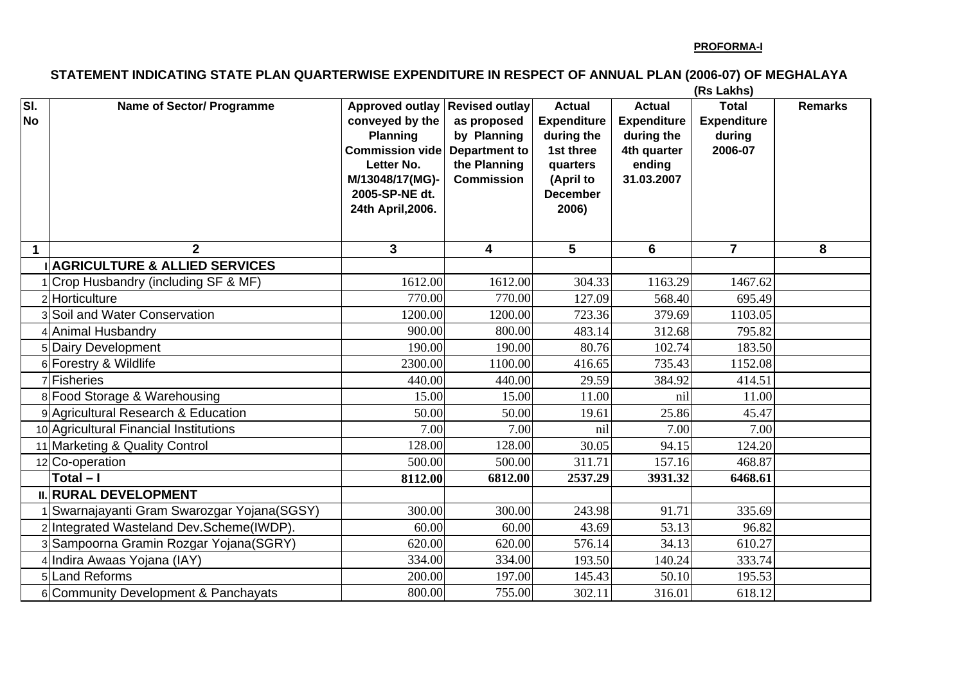## **STATEMENT INDICATING STATE PLAN QUARTERWISE EXPENDITURE IN RESPECT OF ANNUAL PLAN (2006-07) OF MEGHALAYA**

**(Rs Lakhs)**

| SI.<br><b>No</b> | <b>Name of Sector/ Programme</b>                           | Approved outlay Revised outlay<br>conveyed by the<br><b>Planning</b><br><b>Commission vide</b><br>Letter No.<br>M/13048/17(MG)-<br>2005-SP-NE dt.<br>24th April, 2006. | as proposed<br>by Planning<br><b>Department to</b><br>the Planning<br><b>Commission</b> | <b>Actual</b><br><b>Expenditure</b><br>during the<br>1st three<br>quarters<br>(April to<br><b>December</b><br>2006) | <b>Actual</b><br><b>Expenditure</b><br>during the<br>4th quarter<br>ending<br>31.03.2007 | $\overline{\mathsf{T}}$ otal<br><b>Expenditure</b><br>during<br>2006-07 | <b>Remarks</b> |
|------------------|------------------------------------------------------------|------------------------------------------------------------------------------------------------------------------------------------------------------------------------|-----------------------------------------------------------------------------------------|---------------------------------------------------------------------------------------------------------------------|------------------------------------------------------------------------------------------|-------------------------------------------------------------------------|----------------|
| 1                | $\overline{2}$<br><b>AGRICULTURE &amp; ALLIED SERVICES</b> | $\mathbf{3}$                                                                                                                                                           | $\overline{\mathbf{4}}$                                                                 | 5                                                                                                                   | 6                                                                                        | $\overline{7}$                                                          | 8              |
|                  | Crop Husbandry (including SF & MF)                         | 1612.00                                                                                                                                                                | 1612.00                                                                                 | 304.33                                                                                                              | 1163.29                                                                                  | 1467.62                                                                 |                |
|                  | 2 Horticulture                                             | 770.00                                                                                                                                                                 | 770.00                                                                                  | 127.09                                                                                                              | 568.40                                                                                   | 695.49                                                                  |                |
|                  | 3 Soil and Water Conservation                              | 1200.00                                                                                                                                                                | 1200.00                                                                                 | 723.36                                                                                                              | 379.69                                                                                   | 1103.05                                                                 |                |
|                  | 4 Animal Husbandry                                         | 900.00                                                                                                                                                                 | 800.00                                                                                  | 483.14                                                                                                              | 312.68                                                                                   | 795.82                                                                  |                |
|                  | 5 Dairy Development                                        | 190.00                                                                                                                                                                 | 190.00                                                                                  | 80.76                                                                                                               | 102.74                                                                                   | 183.50                                                                  |                |
|                  | 6 Forestry & Wildlife                                      | 2300.00                                                                                                                                                                | 1100.00                                                                                 | 416.65                                                                                                              | 735.43                                                                                   | 1152.08                                                                 |                |
|                  | <b>7</b> Fisheries                                         | 440.00                                                                                                                                                                 | 440.00                                                                                  | 29.59                                                                                                               | 384.92                                                                                   | 414.51                                                                  |                |
|                  | 8 Food Storage & Warehousing                               | 15.00                                                                                                                                                                  | 15.00                                                                                   | 11.00                                                                                                               | nil                                                                                      | 11.00                                                                   |                |
|                  | 9 Agricultural Research & Education                        | 50.00                                                                                                                                                                  | 50.00                                                                                   | 19.61                                                                                                               | 25.86                                                                                    | 45.47                                                                   |                |
|                  | 10 Agricultural Financial Institutions                     | 7.00                                                                                                                                                                   | 7.00                                                                                    | nil                                                                                                                 | 7.00                                                                                     | 7.00                                                                    |                |
|                  | 11 Marketing & Quality Control                             | 128.00                                                                                                                                                                 | 128.00                                                                                  | 30.05                                                                                                               | 94.15                                                                                    | 124.20                                                                  |                |
|                  | 12 Co-operation                                            | 500.00                                                                                                                                                                 | 500.00                                                                                  | 311.71                                                                                                              | 157.16                                                                                   | 468.87                                                                  |                |
|                  | Total $-I$                                                 | 8112.00                                                                                                                                                                | 6812.00                                                                                 | 2537.29                                                                                                             | 3931.32                                                                                  | 6468.61                                                                 |                |
|                  | <b>II. RURAL DEVELOPMENT</b>                               |                                                                                                                                                                        |                                                                                         |                                                                                                                     |                                                                                          |                                                                         |                |
|                  | Swarnajayanti Gram Swarozgar Yojana(SGSY)                  | 300.00                                                                                                                                                                 | 300.00                                                                                  | 243.98                                                                                                              | 91.71                                                                                    | 335.69                                                                  |                |
|                  | 2 Integrated Wasteland Dev.Scheme(IWDP).                   | 60.00                                                                                                                                                                  | 60.00                                                                                   | 43.69                                                                                                               | 53.13                                                                                    | 96.82                                                                   |                |
|                  | 3 Sampoorna Gramin Rozgar Yojana (SGRY)                    | 620.00                                                                                                                                                                 | 620.00                                                                                  | 576.14                                                                                                              | 34.13                                                                                    | 610.27                                                                  |                |
|                  | 4 Indira Awaas Yojana (IAY)                                | 334.00                                                                                                                                                                 | 334.00                                                                                  | 193.50                                                                                                              | 140.24                                                                                   | 333.74                                                                  |                |
|                  | 5Land Reforms                                              | 200.00                                                                                                                                                                 | 197.00                                                                                  | 145.43                                                                                                              | 50.10                                                                                    | 195.53                                                                  |                |
|                  | 6 Community Development & Panchayats                       | 800.00                                                                                                                                                                 | 755.00                                                                                  | 302.11                                                                                                              | 316.01                                                                                   | 618.12                                                                  |                |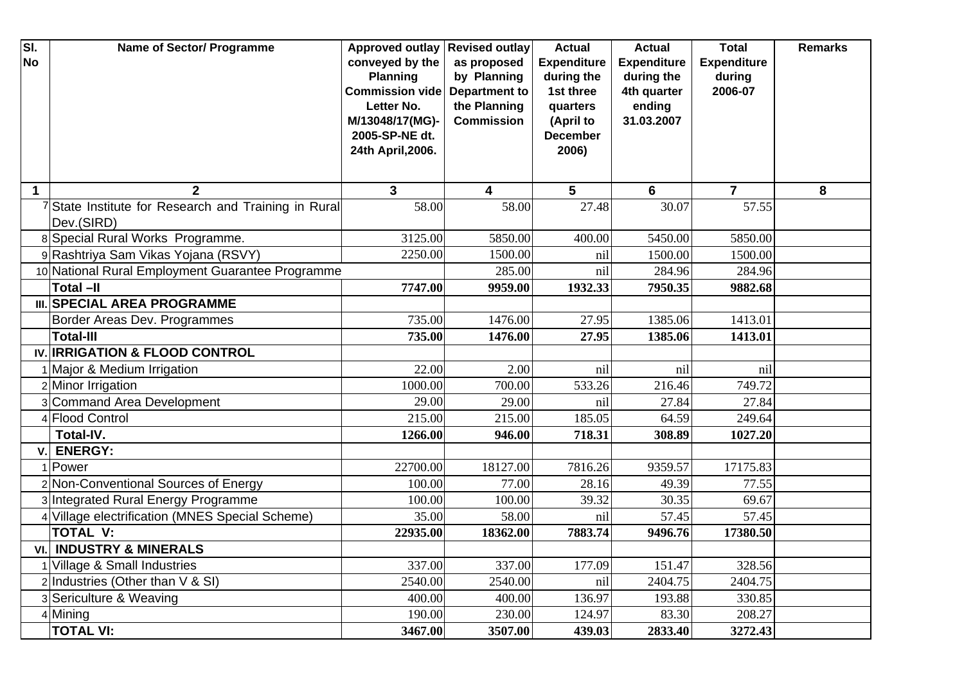| SI.<br><b>No</b> | <b>Name of Sector/ Programme</b>                                 | <b>Approved outlay</b><br>conveyed by the<br><b>Planning</b><br><b>Commission vide</b><br>Letter No.<br>M/13048/17(MG)-<br>2005-SP-NE dt. | <b>Revised outlay</b><br>as proposed<br>by Planning<br><b>Department to</b><br>the Planning<br><b>Commission</b> | <b>Actual</b><br><b>Expenditure</b><br>during the<br>1st three<br>quarters<br>(April to<br><b>December</b> | <b>Actual</b><br><b>Expenditure</b><br>during the<br>4th quarter<br>ending<br>31.03.2007 | <b>Total</b><br><b>Expenditure</b><br>during<br>2006-07 | <b>Remarks</b> |
|------------------|------------------------------------------------------------------|-------------------------------------------------------------------------------------------------------------------------------------------|------------------------------------------------------------------------------------------------------------------|------------------------------------------------------------------------------------------------------------|------------------------------------------------------------------------------------------|---------------------------------------------------------|----------------|
|                  |                                                                  | 24th April, 2006.                                                                                                                         |                                                                                                                  | 2006)                                                                                                      |                                                                                          |                                                         |                |
|                  | $\mathbf 2$                                                      | $\mathbf{3}$                                                                                                                              | 4                                                                                                                | 5                                                                                                          | 6                                                                                        | $\overline{7}$                                          | 8              |
|                  | State Institute for Research and Training in Rural<br>Dev.(SIRD) | 58.00                                                                                                                                     | 58.00                                                                                                            | 27.48                                                                                                      | 30.07                                                                                    | 57.55                                                   |                |
|                  | 8 Special Rural Works Programme.                                 | 3125.00                                                                                                                                   | 5850.00                                                                                                          | 400.00                                                                                                     | 5450.00                                                                                  | 5850.00                                                 |                |
|                  | 9 Rashtriya Sam Vikas Yojana (RSVY)                              | 2250.00                                                                                                                                   | 1500.00                                                                                                          | nil                                                                                                        | 1500.00                                                                                  | 1500.00                                                 |                |
|                  | 10 National Rural Employment Guarantee Programme                 |                                                                                                                                           | 285.00                                                                                                           | nil                                                                                                        | 284.96                                                                                   | 284.96                                                  |                |
|                  | <b>Total -II</b>                                                 | 7747.00                                                                                                                                   | 9959.00                                                                                                          | 1932.33                                                                                                    | 7950.35                                                                                  | 9882.68                                                 |                |
|                  | <b>III. SPECIAL AREA PROGRAMME</b>                               |                                                                                                                                           |                                                                                                                  |                                                                                                            |                                                                                          |                                                         |                |
|                  | Border Areas Dev. Programmes                                     | 735.00                                                                                                                                    | 1476.00                                                                                                          | 27.95                                                                                                      | 1385.06                                                                                  | 1413.01                                                 |                |
|                  | <b>Total-III</b>                                                 | 735.00                                                                                                                                    | 1476.00                                                                                                          | 27.95                                                                                                      | 1385.06                                                                                  | 1413.01                                                 |                |
|                  | IV. IRRIGATION & FLOOD CONTROL                                   |                                                                                                                                           |                                                                                                                  |                                                                                                            |                                                                                          |                                                         |                |
|                  | Major & Medium Irrigation                                        | 22.00                                                                                                                                     | 2.00                                                                                                             | nil                                                                                                        | nil                                                                                      | nil                                                     |                |
|                  | 2 Minor Irrigation                                               | 1000.00                                                                                                                                   | 700.00                                                                                                           | 533.26                                                                                                     | 216.46                                                                                   | 749.72                                                  |                |
|                  | 3 Command Area Development                                       | 29.00                                                                                                                                     | 29.00                                                                                                            | nil                                                                                                        | 27.84                                                                                    | 27.84                                                   |                |
|                  | 4 Flood Control                                                  | 215.00                                                                                                                                    | 215.00                                                                                                           | 185.05                                                                                                     | 64.59                                                                                    | 249.64                                                  |                |
|                  | Total-IV.                                                        | 1266.00                                                                                                                                   | 946.00                                                                                                           | 718.31                                                                                                     | 308.89                                                                                   | 1027.20                                                 |                |
| v                | <b>ENERGY:</b>                                                   |                                                                                                                                           |                                                                                                                  |                                                                                                            |                                                                                          |                                                         |                |
|                  | Power                                                            | 22700.00                                                                                                                                  | 18127.00                                                                                                         | 7816.26                                                                                                    | 9359.57                                                                                  | 17175.83                                                |                |
|                  | 2 Non-Conventional Sources of Energy                             | 100.00                                                                                                                                    | 77.00                                                                                                            | 28.16                                                                                                      | 49.39                                                                                    | 77.55                                                   |                |
|                  | 3 Integrated Rural Energy Programme                              | 100.00                                                                                                                                    | 100.00                                                                                                           | 39.32                                                                                                      | 30.35                                                                                    | 69.67                                                   |                |
|                  | Village electrification (MNES Special Scheme)                    | 35.00                                                                                                                                     | 58.00                                                                                                            | nil                                                                                                        | 57.45                                                                                    | 57.45                                                   |                |
|                  | <b>TOTAL V:</b>                                                  | 22935.00                                                                                                                                  | 18362.00                                                                                                         | 7883.74                                                                                                    | 9496.76                                                                                  | 17380.50                                                |                |
|                  | <b>VI. INDUSTRY &amp; MINERALS</b>                               |                                                                                                                                           |                                                                                                                  |                                                                                                            |                                                                                          |                                                         |                |
|                  | Village & Small Industries                                       | 337.00                                                                                                                                    | 337.00                                                                                                           | 177.09                                                                                                     | 151.47                                                                                   | 328.56                                                  |                |
|                  | 2 Industries (Other than $V$ & SI)                               | 2540.00                                                                                                                                   | 2540.00                                                                                                          | nil                                                                                                        | 2404.75                                                                                  | 2404.75                                                 |                |
|                  | 3 Sericulture & Weaving                                          | 400.00                                                                                                                                    | 400.00                                                                                                           | 136.97                                                                                                     | 193.88                                                                                   | 330.85                                                  |                |
|                  | 4 Mining                                                         | 190.00                                                                                                                                    | 230.00                                                                                                           | 124.97                                                                                                     | 83.30                                                                                    | 208.27                                                  |                |
|                  | <b>TOTAL VI:</b>                                                 | 3467.00                                                                                                                                   | 3507.00                                                                                                          | 439.03                                                                                                     | 2833.40                                                                                  | 3272.43                                                 |                |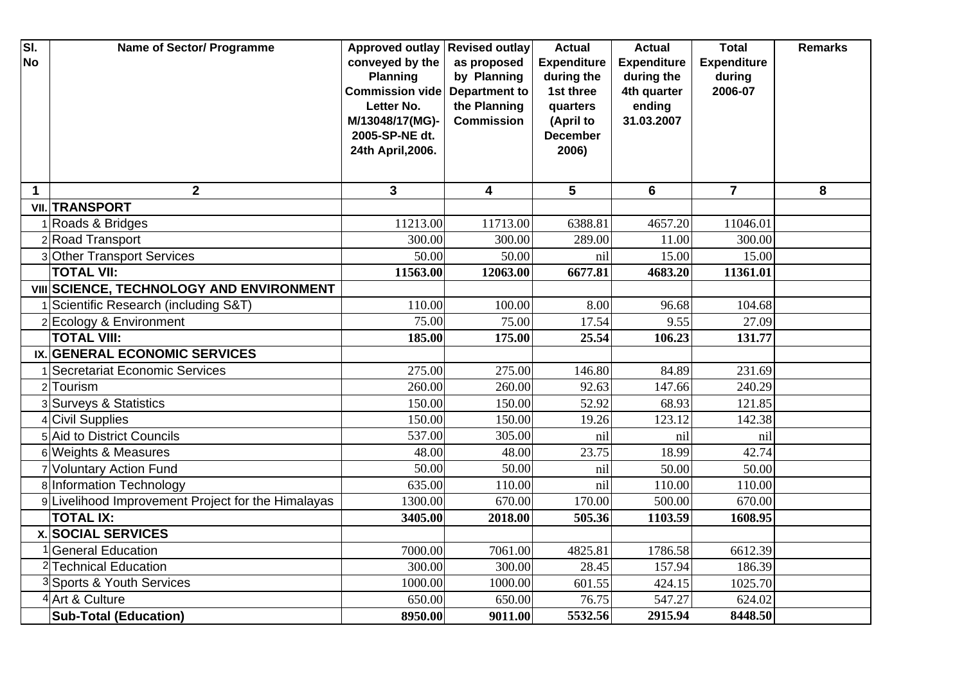| SI.<br><b>No</b> | <b>Name of Sector/ Programme</b>                   | <b>Approved outlay</b><br>conveyed by the<br><b>Planning</b><br><b>Commission vide</b><br>Letter No.<br>M/13048/17(MG)- | <b>Revised outlay</b><br>as proposed<br>by Planning<br><b>Department to</b><br>the Planning<br><b>Commission</b> | <b>Actual</b><br><b>Expenditure</b><br>during the<br>1st three<br>quarters<br>(April to | <b>Actual</b><br><b>Expenditure</b><br>during the<br>4th quarter<br>ending<br>31.03.2007 | <b>Total</b><br><b>Expenditure</b><br>during<br>2006-07 | <b>Remarks</b> |
|------------------|----------------------------------------------------|-------------------------------------------------------------------------------------------------------------------------|------------------------------------------------------------------------------------------------------------------|-----------------------------------------------------------------------------------------|------------------------------------------------------------------------------------------|---------------------------------------------------------|----------------|
|                  |                                                    | 2005-SP-NE dt.<br>24th April, 2006.                                                                                     |                                                                                                                  | <b>December</b><br>2006)                                                                |                                                                                          |                                                         |                |
| $\mathbf 1$      | $\overline{2}$                                     | 3                                                                                                                       | 4                                                                                                                | $5\phantom{1}$                                                                          | 6                                                                                        | $\overline{7}$                                          | 8              |
|                  | <b>VII. TRANSPORT</b>                              |                                                                                                                         |                                                                                                                  |                                                                                         |                                                                                          |                                                         |                |
|                  | 1 Roads & Bridges                                  | 11213.00                                                                                                                | 11713.00                                                                                                         | 6388.81                                                                                 | 4657.20                                                                                  | 11046.01                                                |                |
|                  | 2 Road Transport                                   | 300.00                                                                                                                  | 300.00                                                                                                           | 289.00                                                                                  | 11.00                                                                                    | 300.00                                                  |                |
|                  | 3 Other Transport Services                         | 50.00                                                                                                                   | 50.00                                                                                                            | nil                                                                                     | 15.00                                                                                    | 15.00                                                   |                |
|                  | <b>TOTAL VII:</b>                                  | 11563.00                                                                                                                | 12063.00                                                                                                         | 6677.81                                                                                 | 4683.20                                                                                  | 11361.01                                                |                |
|                  | VIII SCIENCE, TECHNOLOGY AND ENVIRONMENT           |                                                                                                                         |                                                                                                                  |                                                                                         |                                                                                          |                                                         |                |
|                  | Scientific Research (including S&T)                | 110.00                                                                                                                  | 100.00                                                                                                           | 8.00                                                                                    | 96.68                                                                                    | 104.68                                                  |                |
|                  | 2 Ecology & Environment                            | 75.00                                                                                                                   | 75.00                                                                                                            | 17.54                                                                                   | 9.55                                                                                     | 27.09                                                   |                |
|                  | <b>TOTAL VIII:</b>                                 | 185.00                                                                                                                  | 175.00                                                                                                           | 25.54                                                                                   | 106.23                                                                                   | 131.77                                                  |                |
|                  | IX. GENERAL ECONOMIC SERVICES                      |                                                                                                                         |                                                                                                                  |                                                                                         |                                                                                          |                                                         |                |
|                  | Secretariat Economic Services                      | 275.00                                                                                                                  | 275.00                                                                                                           | 146.80                                                                                  | 84.89                                                                                    | 231.69                                                  |                |
|                  | 2 Tourism                                          | 260.00                                                                                                                  | 260.00                                                                                                           | 92.63                                                                                   | 147.66                                                                                   | 240.29                                                  |                |
|                  | 3 Surveys & Statistics                             | 150.00                                                                                                                  | 150.00                                                                                                           | 52.92                                                                                   | 68.93                                                                                    | 121.85                                                  |                |
|                  | 4 Civil Supplies                                   | 150.00                                                                                                                  | 150.00                                                                                                           | 19.26                                                                                   | 123.12                                                                                   | 142.38                                                  |                |
|                  | 5 Aid to District Councils                         | 537.00                                                                                                                  | 305.00                                                                                                           | nil                                                                                     | nil                                                                                      | nil                                                     |                |
|                  | 6 Weights & Measures                               | 48.00                                                                                                                   | 48.00                                                                                                            | 23.75                                                                                   | 18.99                                                                                    | 42.74                                                   |                |
|                  | 7 Voluntary Action Fund                            | 50.00                                                                                                                   | 50.00                                                                                                            | nil                                                                                     | 50.00                                                                                    | 50.00                                                   |                |
|                  | 8 Information Technology                           | 635.00                                                                                                                  | 110.00                                                                                                           | nil                                                                                     | 110.00                                                                                   | 110.00                                                  |                |
|                  | 9 Livelihood Improvement Project for the Himalayas | 1300.00                                                                                                                 | 670.00                                                                                                           | 170.00                                                                                  | 500.00                                                                                   | 670.00                                                  |                |
|                  | <b>TOTAL IX:</b>                                   | 3405.00                                                                                                                 | 2018.00                                                                                                          | 505.36                                                                                  | 1103.59                                                                                  | 1608.95                                                 |                |
|                  | <b>x. SOCIAL SERVICES</b>                          |                                                                                                                         |                                                                                                                  |                                                                                         |                                                                                          |                                                         |                |
|                  | <b>General Education</b>                           | 7000.00                                                                                                                 | 7061.00                                                                                                          | 4825.81                                                                                 | 1786.58                                                                                  | 6612.39                                                 |                |
|                  | <sup>2</sup> Technical Education                   | 300.00                                                                                                                  | 300.00                                                                                                           | 28.45                                                                                   | 157.94                                                                                   | 186.39                                                  |                |
|                  | <sup>3</sup> Sports & Youth Services               | 1000.00                                                                                                                 | 1000.00                                                                                                          | 601.55                                                                                  | 424.15                                                                                   | 1025.70                                                 |                |
|                  | <sup>4</sup> Art & Culture                         | 650.00                                                                                                                  | 650.00                                                                                                           | 76.75                                                                                   | 547.27                                                                                   | 624.02                                                  |                |
|                  | <b>Sub-Total (Education)</b>                       | 8950.00                                                                                                                 | 9011.00                                                                                                          | 5532.56                                                                                 | 2915.94                                                                                  | 8448.50                                                 |                |